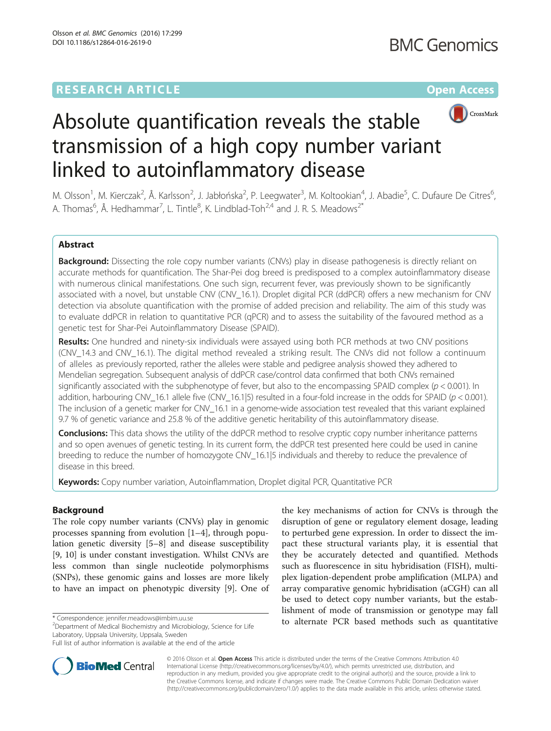# **RESEARCH ARTICLE External Structure Community Community Community Community Community Community Community Community**



# Absolute quantification reveals the stable transmission of a high copy number variant linked to autoinflammatory disease

M. Olsson<sup>1</sup>, M. Kierczak<sup>2</sup>, Å. Karlsson<sup>2</sup>, J. Jabłońska<sup>2</sup>, P. Leegwater<sup>3</sup>, M. Koltookian<sup>4</sup>, J. Abadie<sup>5</sup>, C. Dufaure De Citres<sup>6</sup> , A. Thomas<sup>6</sup>, Å. Hedhammar<sup>7</sup>, L. Tintle<sup>8</sup>, K. Lindblad-Toh<sup>2,4</sup> and J. R. S. Meadows<sup>2\*</sup>

# Abstract

Background: Dissecting the role copy number variants (CNVs) play in disease pathogenesis is directly reliant on accurate methods for quantification. The Shar-Pei dog breed is predisposed to a complex autoinflammatory disease with numerous clinical manifestations. One such sign, recurrent fever, was previously shown to be significantly associated with a novel, but unstable CNV (CNV\_16.1). Droplet digital PCR (ddPCR) offers a new mechanism for CNV detection via absolute quantification with the promise of added precision and reliability. The aim of this study was to evaluate ddPCR in relation to quantitative PCR (qPCR) and to assess the suitability of the favoured method as a genetic test for Shar-Pei Autoinflammatory Disease (SPAID).

Results: One hundred and ninety-six individuals were assayed using both PCR methods at two CNV positions (CNV\_14.3 and CNV\_16.1). The digital method revealed a striking result. The CNVs did not follow a continuum of alleles as previously reported, rather the alleles were stable and pedigree analysis showed they adhered to Mendelian segregation. Subsequent analysis of ddPCR case/control data confirmed that both CNVs remained significantly associated with the subphenotype of fever, but also to the encompassing SPAID complex ( $p < 0.001$ ). In addition, harbouring CNV\_16.1 allele five (CNV\_16.1|5) resulted in a four-fold increase in the odds for SPAID ( $p < 0.001$ ). The inclusion of a genetic marker for CNV\_16.1 in a genome-wide association test revealed that this variant explained 9.7 % of genetic variance and 25.8 % of the additive genetic heritability of this autoinflammatory disease.

Conclusions: This data shows the utility of the ddPCR method to resolve cryptic copy number inheritance patterns and so open avenues of genetic testing. In its current form, the ddPCR test presented here could be used in canine breeding to reduce the number of homozygote CNV\_16.1|5 individuals and thereby to reduce the prevalence of disease in this breed.

**Keywords:** Copy number variation, Autoinflammation, Droplet digital PCR, Quantitative PCR

## Background

The role copy number variants (CNVs) play in genomic processes spanning from evolution [\[1](#page-7-0)–[4\]](#page-7-0), through population genetic diversity [[5](#page-7-0)–[8](#page-7-0)] and disease susceptibility [[9, 10](#page-7-0)] is under constant investigation. Whilst CNVs are less common than single nucleotide polymorphisms (SNPs), these genomic gains and losses are more likely to have an impact on phenotypic diversity [[9\]](#page-7-0). One of

<sup>2</sup>Department of Medical Biochemistry and Microbiology, Science for Life Laboratory, Uppsala University, Uppsala, Sweden

Full list of author information is available at the end of the article





© 2016 Olsson et al. Open Access This article is distributed under the terms of the Creative Commons Attribution 4.0 International License [\(http://creativecommons.org/licenses/by/4.0/](http://creativecommons.org/licenses/by/4.0/)), which permits unrestricted use, distribution, and reproduction in any medium, provided you give appropriate credit to the original author(s) and the source, provide a link to the Creative Commons license, and indicate if changes were made. The Creative Commons Public Domain Dedication waiver [\(http://creativecommons.org/publicdomain/zero/1.0/](http://creativecommons.org/publicdomain/zero/1.0/)) applies to the data made available in this article, unless otherwise stated.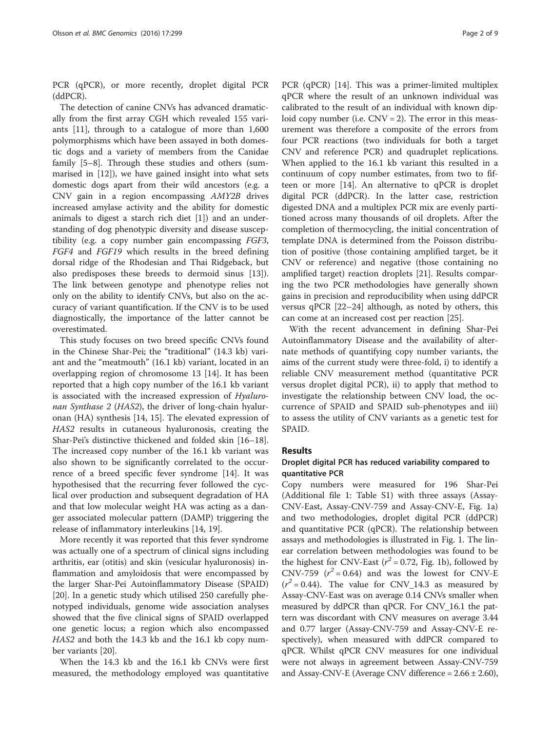PCR (qPCR), or more recently, droplet digital PCR (ddPCR).

The detection of canine CNVs has advanced dramatically from the first array CGH which revealed 155 variants [[11\]](#page-7-0), through to a catalogue of more than 1,600 polymorphisms which have been assayed in both domestic dogs and a variety of members from the Canidae family [[5](#page-7-0)–[8\]](#page-7-0). Through these studies and others (summarised in [\[12](#page-7-0)]), we have gained insight into what sets domestic dogs apart from their wild ancestors (e.g. a CNV gain in a region encompassing AMY2B drives increased amylase activity and the ability for domestic animals to digest a starch rich diet [\[1\]](#page-7-0)) and an understanding of dog phenotypic diversity and disease susceptibility (e.g. a copy number gain encompassing FGF3, FGF4 and FGF19 which results in the breed defining dorsal ridge of the Rhodesian and Thai Ridgeback, but also predisposes these breeds to dermoid sinus [\[13](#page-7-0)]). The link between genotype and phenotype relies not only on the ability to identify CNVs, but also on the accuracy of variant quantification. If the CNV is to be used diagnostically, the importance of the latter cannot be overestimated.

This study focuses on two breed specific CNVs found in the Chinese Shar-Pei; the "traditional" (14.3 kb) variant and the "meatmouth" (16.1 kb) variant, located in an overlapping region of chromosome 13 [\[14](#page-7-0)]. It has been reported that a high copy number of the 16.1 kb variant is associated with the increased expression of Hyaluronan Synthase 2 (HAS2), the driver of long-chain hyaluronan (HA) synthesis [\[14](#page-7-0), [15](#page-7-0)]. The elevated expression of HAS2 results in cutaneous hyaluronosis, creating the Shar-Pei's distinctive thickened and folded skin [[16](#page-7-0)–[18](#page-7-0)]. The increased copy number of the 16.1 kb variant was also shown to be significantly correlated to the occurrence of a breed specific fever syndrome [[14](#page-7-0)]. It was hypothesised that the recurring fever followed the cyclical over production and subsequent degradation of HA and that low molecular weight HA was acting as a danger associated molecular pattern (DAMP) triggering the release of inflammatory interleukins [\[14](#page-7-0), [19](#page-7-0)].

More recently it was reported that this fever syndrome was actually one of a spectrum of clinical signs including arthritis, ear (otitis) and skin (vesicular hyaluronosis) inflammation and amyloidosis that were encompassed by the larger Shar-Pei Autoinflammatory Disease (SPAID) [[20\]](#page-7-0). In a genetic study which utilised 250 carefully phenotyped individuals, genome wide association analyses showed that the five clinical signs of SPAID overlapped one genetic locus; a region which also encompassed HAS2 and both the 14.3 kb and the 16.1 kb copy number variants [\[20](#page-7-0)].

When the 14.3 kb and the 16.1 kb CNVs were first measured, the methodology employed was quantitative

PCR (qPCR) [[14\]](#page-7-0). This was a primer-limited multiplex qPCR where the result of an unknown individual was calibrated to the result of an individual with known diploid copy number (i.e.  $CNV = 2$ ). The error in this measurement was therefore a composite of the errors from four PCR reactions (two individuals for both a target CNV and reference PCR) and quadruplet replications. When applied to the 16.1 kb variant this resulted in a continuum of copy number estimates, from two to fifteen or more [[14](#page-7-0)]. An alternative to qPCR is droplet digital PCR (ddPCR). In the latter case, restriction digested DNA and a multiplex PCR mix are evenly partitioned across many thousands of oil droplets. After the completion of thermocycling, the initial concentration of template DNA is determined from the Poisson distribution of positive (those containing amplified target, be it CNV or reference) and negative (those containing no amplified target) reaction droplets [[21\]](#page-7-0). Results comparing the two PCR methodologies have generally shown gains in precision and reproducibility when using ddPCR versus qPCR [[22](#page-7-0)–[24](#page-7-0)] although, as noted by others, this can come at an increased cost per reaction [\[25](#page-7-0)].

With the recent advancement in defining Shar-Pei Autoinflammatory Disease and the availability of alternate methods of quantifying copy number variants, the aims of the current study were three-fold, i) to identify a reliable CNV measurement method (quantitative PCR versus droplet digital PCR), ii) to apply that method to investigate the relationship between CNV load, the occurrence of SPAID and SPAID sub-phenotypes and iii) to assess the utility of CNV variants as a genetic test for SPAID.

#### Results

### Droplet digital PCR has reduced variability compared to quantitative PCR

Copy numbers were measured for 196 Shar-Pei (Additional file [1](#page-6-0): Table S1) with three assays (Assay-CNV-East, Assay-CNV-759 and Assay-CNV-E, Fig. [1a](#page-2-0)) and two methodologies, droplet digital PCR (ddPCR) and quantitative PCR (qPCR). The relationship between assays and methodologies is illustrated in Fig. [1](#page-2-0). The linear correlation between methodologies was found to be the highest for CNV-East ( $r^2$  = 0.72, Fig. [1b\)](#page-2-0), followed by CNV-759  $(r^2 = 0.64)$  and was the lowest for CNV-E  $(r^2 = 0.44)$ . The value for CNV\_14.3 as measured by Assay-CNV-East was on average 0.14 CNVs smaller when measured by ddPCR than qPCR. For CNV\_16.1 the pattern was discordant with CNV measures on average 3.44 and 0.77 larger (Assay-CNV-759 and Assay-CNV-E respectively), when measured with ddPCR compared to qPCR. Whilst qPCR CNV measures for one individual were not always in agreement between Assay-CNV-759 and Assay-CNV-E (Average CNV difference  $= 2.66 \pm 2.60$ ),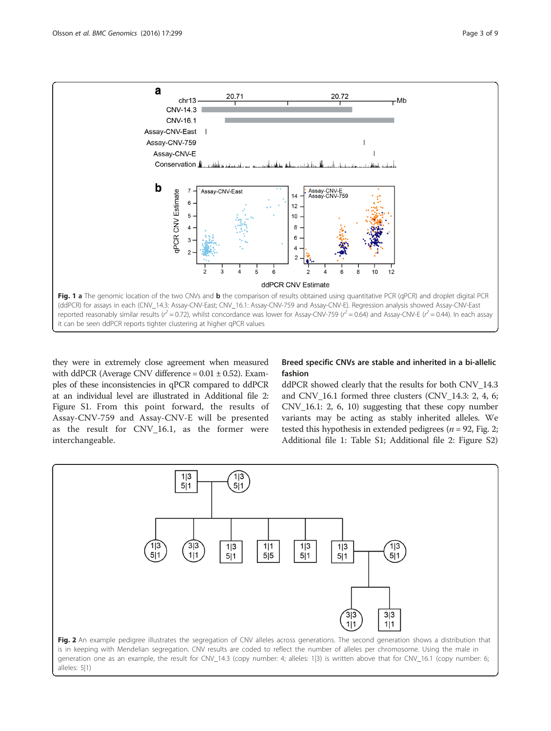<span id="page-2-0"></span>

they were in extremely close agreement when measured with ddPCR (Average CNV difference =  $0.01 \pm 0.52$ ). Examples of these inconsistencies in qPCR compared to ddPCR at an individual level are illustrated in Additional file [2](#page-6-0): Figure S1. From this point forward, the results of Assay-CNV-759 and Assay-CNV-E will be presented as the result for CNV\_16.1, as the former were interchangeable.

### Breed specific CNVs are stable and inherited in a bi-allelic fashion

ddPCR showed clearly that the results for both CNV\_14.3 and CNV\_16.1 formed three clusters (CNV\_14.3: 2, 4, 6; CNV\_16.1: 2, 6, 10) suggesting that these copy number variants may be acting as stably inherited alleles. We tested this hypothesis in extended pedigrees ( $n = 92$ , Fig. 2; Additional file [1:](#page-6-0) Table S1; Additional file [2](#page-6-0): Figure S2)

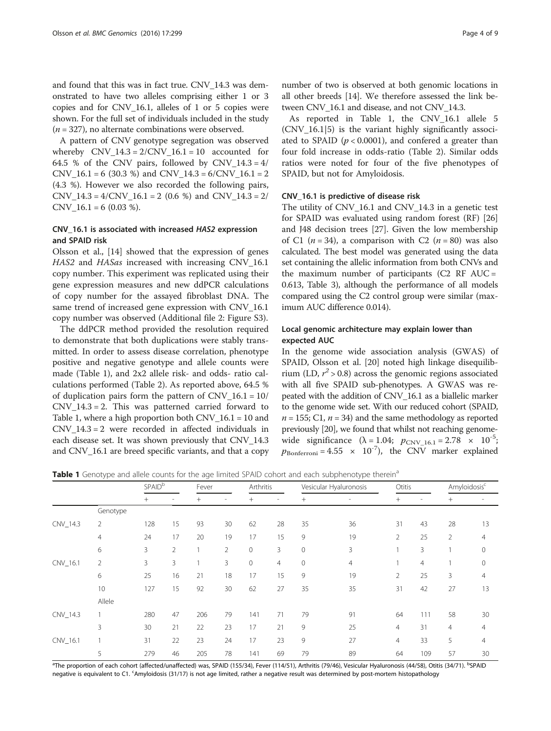<span id="page-3-0"></span>and found that this was in fact true. CNV\_14.3 was demonstrated to have two alleles comprising either 1 or 3 copies and for CNV\_16.1, alleles of 1 or 5 copies were shown. For the full set of individuals included in the study  $(n = 327)$ , no alternate combinations were observed.

A pattern of CNV genotype segregation was observed whereby  $CNV_14.3 = 2/CNV_16.1 = 10$  accounted for 64.5 % of the CNV pairs, followed by CNV  $14.3 = 4/$  $CNV_16.1 = 6$  (30.3 %) and  $CNV_14.3 = 6/CNV_16.1 = 2$ (4.3 %). However we also recorded the following pairs,  $CNV_14.3 = 4/CNV_16.1 = 2 (0.6 %)$  and  $CNV_14.3 = 2/$  $CNV_16.1 = 6$  (0.03 %).

### CNV\_16.1 is associated with increased HAS2 expression and SPAID risk

Olsson et al., [\[14](#page-7-0)] showed that the expression of genes HAS2 and HASas increased with increasing CNV\_16.1 copy number. This experiment was replicated using their gene expression measures and new ddPCR calculations of copy number for the assayed fibroblast DNA. The same trend of increased gene expression with CNV\_16.1 copy number was observed (Additional file [2:](#page-6-0) Figure S3).

The ddPCR method provided the resolution required to demonstrate that both duplications were stably transmitted. In order to assess disease correlation, phenotype positive and negative genotype and allele counts were made (Table 1), and 2x2 allele risk- and odds- ratio calculations performed (Table [2](#page-4-0)). As reported above, 64.5 % of duplication pairs form the pattern of  $CNV_16.1 = 10/$  $CNV_14.3 = 2$ . This was patterned carried forward to Table 1, where a high proportion both  $CNV_16.1 = 10$  and CNV\_14.3 = 2 were recorded in affected individuals in each disease set. It was shown previously that CNV\_14.3 and CNV\_16.1 are breed specific variants, and that a copy number of two is observed at both genomic locations in all other breeds [\[14\]](#page-7-0). We therefore assessed the link between CNV\_16.1 and disease, and not CNV\_14.3.

As reported in Table 1, the CNV\_16.1 allele 5 (CNV\_16.1|5) is the variant highly significantly associated to SPAID ( $p < 0.0001$ ), and confered a greater than four fold increase in odds-ratio (Table [2](#page-4-0)). Similar odds ratios were noted for four of the five phenotypes of SPAID, but not for Amyloidosis.

#### CNV\_16.1 is predictive of disease risk

The utility of CNV\_16.1 and CNV\_14.3 in a genetic test for SPAID was evaluated using random forest (RF) [[26](#page-7-0)] and J48 decision trees [[27\]](#page-7-0). Given the low membership of C1 ( $n = 34$ ), a comparison with C2 ( $n = 80$ ) was also calculated. The best model was generated using the data set containing the allelic information from both CNVs and the maximum number of participants  $(C2 \text{ RF} \text{ AUC} =$ 0.613, Table [3\)](#page-4-0), although the performance of all models compared using the C2 control group were similar (maximum AUC difference 0.014).

#### Local genomic architecture may explain lower than expected AUC

In the genome wide association analysis (GWAS) of SPAID, Olsson et al. [\[20](#page-7-0)] noted high linkage disequilibrium (LD,  $r^2 > 0.8$ ) across the genomic regions associated with all five SPAID sub-phenotypes. A GWAS was repeated with the addition of CNV\_16.1 as a biallelic marker to the genome wide set. With our reduced cohort (SPAID,  $n = 155$ ; C1,  $n = 34$ ) and the same methodology as reported previously [[20](#page-7-0)], we found that whilst not reaching genomewide significance  $(\lambda = 1.04; p_{CNV~16.1} = 2.78 \times 10^{-5};$  $p_{\text{Bonferroni}} = 4.55 \times 10^{-7}$ , the CNV marker explained

**Table 1** Genotype and allele counts for the age limited SPAID cohort and each subphenotype therein<sup>a</sup>

|          | . .      | <b>SPAID</b> <sup>b</sup> |    | Fever  |                          | Arthritis    |                              | . .<br>Vesicular Hyaluronosis |                          | Otitis         |                | Amyloidosis <sup>c</sup> |                          |
|----------|----------|---------------------------|----|--------|--------------------------|--------------|------------------------------|-------------------------------|--------------------------|----------------|----------------|--------------------------|--------------------------|
|          |          | $^{+}$                    | ٠  | $^{+}$ | $\overline{\phantom{a}}$ | $+$          | $\qquad \qquad \blacksquare$ | $^{+}$                        | $\overline{\phantom{a}}$ | $^{+}$         |                | $^{+}$                   | $\overline{\phantom{a}}$ |
|          | Genotype |                           |    |        |                          |              |                              |                               |                          |                |                |                          |                          |
| CNV_14.3 | 2        | 128                       | 15 | 93     | 30                       | 62           | 28                           | 35                            | 36                       | 31             | 43             | 28                       | 13                       |
|          | 4        | 24                        | 17 | 20     | 19                       | 17           | 15                           | 9                             | 19                       | $\overline{2}$ | 25             | 2                        | $\overline{4}$           |
|          | 6        | 3                         | 2  |        | $\overline{2}$           | $\mathbf 0$  | 3                            | $\mathbf 0$                   | 3                        |                | 3              |                          | $\mathbf 0$              |
| CNV_16.1 | 2        | 3                         | 3  |        | 3                        | $\mathbf{0}$ | $\overline{4}$               | $\mathbf 0$                   | 4                        |                | $\overline{4}$ |                          | $\mathbf{0}$             |
|          | 6        | 25                        | 16 | 21     | 18                       | 17           | 15                           | 9                             | 19                       | 2              | 25             | 3                        | $\overline{4}$           |
|          | 10       | 127                       | 15 | 92     | 30                       | 62           | 27                           | 35                            | 35                       | 31             | 42             | 27                       | 13                       |
|          | Allele   |                           |    |        |                          |              |                              |                               |                          |                |                |                          |                          |
| CNV_14.3 |          | 280                       | 47 | 206    | 79                       | 141          | 71                           | 79                            | 91                       | 64             | 111            | 58                       | 30                       |
|          | 3        | 30                        | 21 | 22     | 23                       | 17           | 21                           | 9                             | 25                       | $\overline{4}$ | 31             | $\overline{4}$           | $\overline{4}$           |
| CNV_16.1 |          | 31                        | 22 | 23     | 24                       | 17           | 23                           | 9                             | 27                       | $\overline{4}$ | 33             | 5                        | $\overline{4}$           |
|          | 5        | 279                       | 46 | 205    | 78                       | 141          | 69                           | 79                            | 89                       | 64             | 109            | 57                       | 30                       |

<sup>a</sup>The proportion of each cohort (affected/unaffected) was, SPAID (155/34), Fever (114/51), Arthritis (79/46), Vesicular Hyaluronosis (44/58), Otitis (34/71). <sup>b</sup>SPAID negative is equivalent to C1. <sup>c</sup>Amyloidosis (31/17) is not age limited, rather a negative result was determined by post-mortem histopathology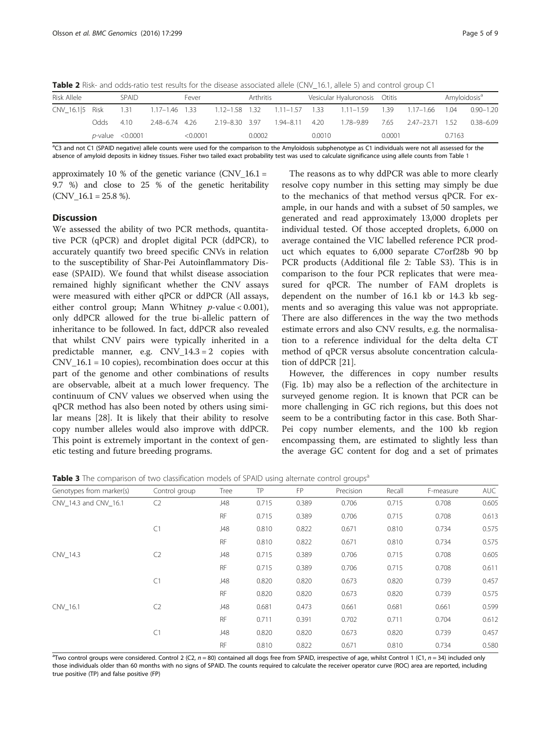<span id="page-4-0"></span>Table 2 Risk- and odds-ratio test results for the disease associated allele (CNV-16.1, allele 5) and control group C1

| Risk Allele     |       | SPAID                 |                | Fever   |                | Arthritis |                    | Vesicular Hyaluronosis Otitis |                                                             |        |                 | Amyloidosis <sup>a</sup> |               |
|-----------------|-------|-----------------------|----------------|---------|----------------|-----------|--------------------|-------------------------------|-------------------------------------------------------------|--------|-----------------|--------------------------|---------------|
| CNV_16.1 5 Risk |       | 1.31                  |                |         |                |           |                    |                               | 1.17–1.46 1.33 1.12–1.58 1.32 1.11–1.57 1.33 1.11–1.59 1.39 |        | 1.17–1.66 1.04  |                          | $0.90 - 1.20$ |
|                 | adds. | 4.10                  | 2.48-6.74 4.26 |         | 2.19–8.30 3.97 |           | $1.94 - 8.11$ 4.20 |                               | 1.78-9.89                                                   | 7.65   | 2.47-23.71 1.52 |                          | $0.38 - 6.09$ |
|                 |       | $p$ -value < $0.0001$ |                | <0.0001 |                | 0.0002    |                    | 0.0010                        |                                                             | 0.0001 |                 | 0.7163                   |               |

<sup>a</sup>C3 and not C1 (SPAID negative) allele counts were used for the comparison to the Amyloidosis subphenotype as C1 individuals were not all assessed for the absence of amyloid deposits in kidney tissues. Fisher two tailed exact probability test was used to calculate significance using allele counts from Table [1](#page-3-0)

approximately 10 % of the genetic variance  $(CNV_16.1 =$ 9.7 %) and close to 25 % of the genetic heritability  $(CNV_16.1 = 25.8 %).$ 

#### **Discussion**

We assessed the ability of two PCR methods, quantitative PCR (qPCR) and droplet digital PCR (ddPCR), to accurately quantify two breed specific CNVs in relation to the susceptibility of Shar-Pei Autoinflammatory Disease (SPAID). We found that whilst disease association remained highly significant whether the CNV assays were measured with either qPCR or ddPCR (All assays, either control group; Mann Whitney p-value < 0.001), only ddPCR allowed for the true bi-allelic pattern of inheritance to be followed. In fact, ddPCR also revealed that whilst CNV pairs were typically inherited in a predictable manner, e.g. CNV\_14.3 = 2 copies with  $CNV_16.1 = 10$  copies), recombination does occur at this part of the genome and other combinations of results are observable, albeit at a much lower frequency. The continuum of CNV values we observed when using the qPCR method has also been noted by others using similar means [\[28](#page-7-0)]. It is likely that their ability to resolve copy number alleles would also improve with ddPCR. This point is extremely important in the context of genetic testing and future breeding programs.

The reasons as to why ddPCR was able to more clearly resolve copy number in this setting may simply be due to the mechanics of that method versus qPCR. For example, in our hands and with a subset of 50 samples, we generated and read approximately 13,000 droplets per individual tested. Of those accepted droplets, 6,000 on average contained the VIC labelled reference PCR product which equates to 6,000 separate C7orf28b 90 bp PCR products (Additional file [2](#page-6-0): Table S3). This is in comparison to the four PCR replicates that were measured for qPCR. The number of FAM droplets is dependent on the number of 16.1 kb or 14.3 kb segments and so averaging this value was not appropriate. There are also differences in the way the two methods estimate errors and also CNV results, e.g. the normalisation to a reference individual for the delta delta CT method of qPCR versus absolute concentration calculation of ddPCR [[21\]](#page-7-0).

However, the differences in copy number results (Fig. [1b](#page-2-0)) may also be a reflection of the architecture in surveyed genome region. It is known that PCR can be more challenging in GC rich regions, but this does not seem to be a contributing factor in this case. Both Shar-Pei copy number elements, and the 100 kb region encompassing them, are estimated to slightly less than the average GC content for dog and a set of primates

**Table 3** The comparison of two classification models of SPAID using alternate control groups<sup>a</sup>

| Genotypes from marker(s) | Control group  | Tree      | TP    | <b>FP</b> | Precision | Recall | F-measure | <b>AUC</b> |
|--------------------------|----------------|-----------|-------|-----------|-----------|--------|-----------|------------|
| CNV 14.3 and CNV 16.1    | C <sub>2</sub> | J48       | 0.715 | 0.389     | 0.706     | 0.715  | 0.708     | 0.605      |
|                          |                | <b>RF</b> | 0.715 | 0.389     | 0.706     | 0.715  | 0.708     | 0.613      |
|                          | C1             | J48       | 0.810 | 0.822     | 0.671     | 0.810  | 0.734     | 0.575      |
|                          |                | <b>RF</b> | 0.810 | 0.822     | 0.671     | 0.810  | 0.734     | 0.575      |
| CNV_14.3                 | C <sub>2</sub> | J48       | 0.715 | 0.389     | 0.706     | 0.715  | 0.708     | 0.605      |
|                          |                | <b>RF</b> | 0.715 | 0.389     | 0.706     | 0.715  | 0.708     | 0.611      |
|                          | C1             | J48       | 0.820 | 0.820     | 0.673     | 0.820  | 0.739     | 0.457      |
|                          |                | <b>RF</b> | 0.820 | 0.820     | 0.673     | 0.820  | 0.739     | 0.575      |
| CNV 16.1                 | C <sub>2</sub> | J48       | 0.681 | 0.473     | 0.661     | 0.681  | 0.661     | 0.599      |
|                          |                | <b>RF</b> | 0.711 | 0.391     | 0.702     | 0.711  | 0.704     | 0.612      |
|                          | C1             | J48       | 0.820 | 0.820     | 0.673     | 0.820  | 0.739     | 0.457      |
|                          |                | <b>RF</b> | 0.810 | 0.822     | 0.671     | 0.810  | 0.734     | 0.580      |

<sup>a</sup>Two control groups were considered. Control 2 (C2, n = 80) contained all dogs free from SPAID, irrespective of age, whilst Control 1 (C1, n = 34) included only those individuals older than 60 months with no signs of SPAID. The counts required to calculate the receiver operator curve (ROC) area are reported, including true positive (TP) and false positive (FP)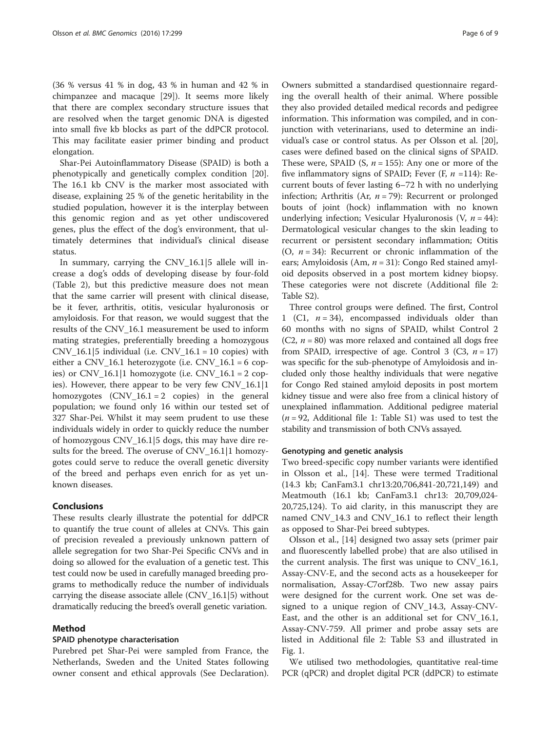(36 % versus 41 % in dog, 43 % in human and 42 % in chimpanzee and macaque [\[29](#page-8-0)]). It seems more likely that there are complex secondary structure issues that are resolved when the target genomic DNA is digested into small five kb blocks as part of the ddPCR protocol. This may facilitate easier primer binding and product elongation.

Shar-Pei Autoinflammatory Disease (SPAID) is both a phenotypically and genetically complex condition [\[20](#page-7-0)]. The 16.1 kb CNV is the marker most associated with disease, explaining 25 % of the genetic heritability in the studied population, however it is the interplay between this genomic region and as yet other undiscovered genes, plus the effect of the dog's environment, that ultimately determines that individual's clinical disease status.

In summary, carrying the CNV\_16.1|5 allele will increase a dog's odds of developing disease by four-fold (Table [2](#page-4-0)), but this predictive measure does not mean that the same carrier will present with clinical disease, be it fever, arthritis, otitis, vesicular hyaluronosis or amyloidosis. For that reason, we would suggest that the results of the CNV\_16.1 measurement be used to inform mating strategies, preferentially breeding a homozygous  $CNV_16.1|5$  individual (i.e.  $CNV_16.1 = 10$  copies) with either a CNV\_16.1 heterozygote (i.e. CNV\_16.1 = 6 copies) or  $CNV_16.1|1$  homozygote (i.e.  $CNV_16.1 = 2$  copies). However, there appear to be very few CNV\_16.1|1 homozygotes  $(CNV_16.1 = 2 \text{ copies})$  in the general population; we found only 16 within our tested set of 327 Shar-Pei. Whilst it may seem prudent to use these individuals widely in order to quickly reduce the number of homozygous CNV\_16.1|5 dogs, this may have dire results for the breed. The overuse of CNV\_16.1|1 homozygotes could serve to reduce the overall genetic diversity of the breed and perhaps even enrich for as yet unknown diseases.

#### Conclusions

These results clearly illustrate the potential for ddPCR to quantify the true count of alleles at CNVs. This gain of precision revealed a previously unknown pattern of allele segregation for two Shar-Pei Specific CNVs and in doing so allowed for the evaluation of a genetic test. This test could now be used in carefully managed breeding programs to methodically reduce the number of individuals carrying the disease associate allele (CNV\_16.1|5) without dramatically reducing the breed's overall genetic variation.

#### Method

#### SPAID phenotype characterisation

Purebred pet Shar-Pei were sampled from France, the Netherlands, Sweden and the United States following owner consent and ethical approvals (See Declaration).

Owners submitted a standardised questionnaire regarding the overall health of their animal. Where possible they also provided detailed medical records and pedigree information. This information was compiled, and in conjunction with veterinarians, used to determine an individual's case or control status. As per Olsson et al. [\[20](#page-7-0)], cases were defined based on the clinical signs of SPAID. These were, SPAID (S,  $n = 155$ ): Any one or more of the five inflammatory signs of SPAID; Fever (F,  $n = 114$ ): Recurrent bouts of fever lasting 6–72 h with no underlying infection; Arthritis (Ar,  $n = 79$ ): Recurrent or prolonged bouts of joint (hock) inflammation with no known underlying infection; Vesicular Hyaluronosis (V,  $n = 44$ ): Dermatological vesicular changes to the skin leading to recurrent or persistent secondary inflammation; Otitis (O,  $n = 34$ ): Recurrent or chronic inflammation of the ears; Amyloidosis (Am,  $n = 31$ ): Congo Red stained amyloid deposits observed in a post mortem kidney biopsy. These categories were not discrete (Additional file [2](#page-6-0): Table S2).

Three control groups were defined. The first, Control 1 (C1,  $n = 34$ ), encompassed individuals older than 60 months with no signs of SPAID, whilst Control 2  $(C2, n = 80)$  was more relaxed and contained all dogs free from SPAID, irrespective of age. Control 3 (C3,  $n = 17$ ) was specific for the sub-phenotype of Amyloidosis and included only those healthy individuals that were negative for Congo Red stained amyloid deposits in post mortem kidney tissue and were also free from a clinical history of unexplained inflammation. Additional pedigree material  $(n = 92,$  Additional file [1:](#page-6-0) Table S1) was used to test the stability and transmission of both CNVs assayed.

#### Genotyping and genetic analysis

Two breed-specific copy number variants were identified in Olsson et al., [\[14\]](#page-7-0). These were termed Traditional (14.3 kb; CanFam3.1 chr13:20,706,841-20,721,149) and Meatmouth (16.1 kb; CanFam3.1 chr13: 20,709,024- 20,725,124). To aid clarity, in this manuscript they are named CNV\_14.3 and CNV\_16.1 to reflect their length as opposed to Shar-Pei breed subtypes.

Olsson et al., [[14\]](#page-7-0) designed two assay sets (primer pair and fluorescently labelled probe) that are also utilised in the current analysis. The first was unique to CNV\_16.1, Assay-CNV-E, and the second acts as a housekeeper for normalisation, Assay-C7orf28b. Two new assay pairs were designed for the current work. One set was designed to a unique region of CNV\_14.3, Assay-CNV-East, and the other is an additional set for CNV\_16.1, Assay-CNV-759. All primer and probe assay sets are listed in Additional file [2](#page-6-0): Table S3 and illustrated in Fig. [1](#page-2-0).

We utilised two methodologies, quantitative real-time PCR (qPCR) and droplet digital PCR (ddPCR) to estimate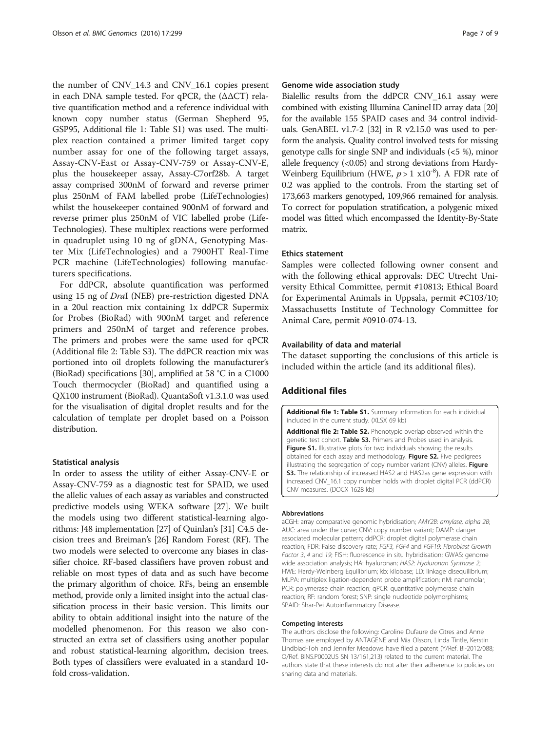<span id="page-6-0"></span>the number of CNV\_14.3 and CNV\_16.1 copies present in each DNA sample tested. For qPCR, the  $(\Delta \Delta CT)$  relative quantification method and a reference individual with known copy number status (German Shepherd 95, GSP95, Additional file 1: Table S1) was used. The multiplex reaction contained a primer limited target copy number assay for one of the following target assays, Assay-CNV-East or Assay-CNV-759 or Assay-CNV-E, plus the housekeeper assay, Assay-C7orf28b. A target assay comprised 300nM of forward and reverse primer plus 250nM of FAM labelled probe (LifeTechnologies) whilst the housekeeper contained 900nM of forward and reverse primer plus 250nM of VIC labelled probe (Life-Technologies). These multiplex reactions were performed in quadruplet using 10 ng of gDNA, Genotyping Master Mix (LifeTechnologies) and a 7900HT Real-Time PCR machine (LifeTechnologies) following manufacturers specifications.

For ddPCR, absolute quantification was performed using 15 ng of DraI (NEB) pre-restriction digested DNA in a 20ul reaction mix containing 1x ddPCR Supermix for Probes (BioRad) with 900nM target and reference primers and 250nM of target and reference probes. The primers and probes were the same used for qPCR (Additional file 2: Table S3). The ddPCR reaction mix was portioned into oil droplets following the manufacturer's (BioRad) specifications [\[30\]](#page-8-0), amplified at 58 °C in a C1000 Touch thermocycler (BioRad) and quantified using a QX100 instrument (BioRad). QuantaSoft v1.3.1.0 was used for the visualisation of digital droplet results and for the calculation of template per droplet based on a Poisson distribution.

#### Statistical analysis

In order to assess the utility of either Assay-CNV-E or Assay-CNV-759 as a diagnostic test for SPAID, we used the allelic values of each assay as variables and constructed predictive models using WEKA software [\[27\]](#page-7-0). We built the models using two different statistical-learning algorithms: J48 implementation [\[27\]](#page-7-0) of Quinlan's [\[31\]](#page-8-0) C4.5 decision trees and Breiman's [[26](#page-7-0)] Random Forest (RF). The two models were selected to overcome any biases in classifier choice. RF-based classifiers have proven robust and reliable on most types of data and as such have become the primary algorithm of choice. RFs, being an ensemble method, provide only a limited insight into the actual classification process in their basic version. This limits our ability to obtain additional insight into the nature of the modelled phenomenon. For this reason we also constructed an extra set of classifiers using another popular and robust statistical-learning algorithm, decision trees. Both types of classifiers were evaluated in a standard 10 fold cross-validation.

#### Genome wide association study

Bialellic results from the ddPCR CNV\_16.1 assay were combined with existing Illumina CanineHD array data [\[20](#page-7-0)] for the available 155 SPAID cases and 34 control individuals. GenABEL v1.7-2 [\[32\]](#page-8-0) in R v2.15.0 was used to perform the analysis. Quality control involved tests for missing genotype calls for single SNP and individuals (<5 %), minor allele frequency  $( $0.05$ )$  and strong deviations from Hardy-Weinberg Equilibrium (HWE,  $p > 1 \times 10^{-8}$ ). A FDR rate of 0.2 was applied to the controls. From the starting set of 173,663 markers genotyped, 109,966 remained for analysis. To correct for population stratification, a polygenic mixed model was fitted which encompassed the Identity-By-State matrix.

#### Ethics statement

Samples were collected following owner consent and with the following ethical approvals: DEC Utrecht University Ethical Committee, permit #10813; Ethical Board for Experimental Animals in Uppsala, permit #C103/10; Massachusetts Institute of Technology Committee for Animal Care, permit #0910-074-13.

#### Availability of data and material

The dataset supporting the conclusions of this article is included within the article (and its additional files).

#### Additional files

[Additional file 1: Table S1.](dx.doi.org/10.1186/s12864-016-2619-0) Summary information for each individual included in the current study. (XLSX 69 kb)

[Additional file 2: Table S2.](dx.doi.org/10.1186/s12864-016-2619-0) Phenotypic overlap observed within the genetic test cohort. Table S3. Primers and Probes used in analysis. Figure S1. Illustrative plots for two individuals showing the results obtained for each assay and methodology. Figure S2. Five pedigrees illustrating the segregation of copy number variant (CNV) alleles. Figure S3. The relationship of increased HAS2 and HAS2as gene expression with increased CNV\_16.1 copy number holds with droplet digital PCR (ddPCR) CNV measures. (DOCX 1628 kb)

#### Abbreviations

aCGH: array comparative genomic hybridisation; AMY2B: amylase, alpha 2B; AUC: area under the curve; CNV: copy number variant; DAMP: danger associated molecular pattern; ddPCR: droplet digital polymerase chain reaction; FDR: False discovery rate; FGF3, FGF4 and FGF19: Fibroblast Growth Factor 3, 4 and 19; FISH: fluorescence in situ hybridisation; GWAS: genome wide association analysis; HA: hyaluronan; HAS2: Hyaluronan Synthase 2; HWE: Hardy-Weinberg Equilibrium; kb: kilobase; LD: linkage disequilibrium; MLPA: multiplex ligation-dependent probe amplification; nM: nanomolar; PCR: polymerase chain reaction; qPCR: quantitative polymerase chain reaction; RF: random forest; SNP: single nucleotide polymorphisms; SPAID: Shar-Pei Autoinflammatory Disease.

#### Competing interests

The authors disclose the following: Caroline Dufaure de Citres and Anne Thomas are employed by ANTAGENE and Mia Olsson, Linda Tintle, Kerstin Lindblad-Toh and Jennifer Meadows have filed a patent (Y/Ref. BI-2012/088; O/Ref. BINS.P0002US SN 13/161,213) related to the current material. The authors state that these interests do not alter their adherence to policies on sharing data and materials.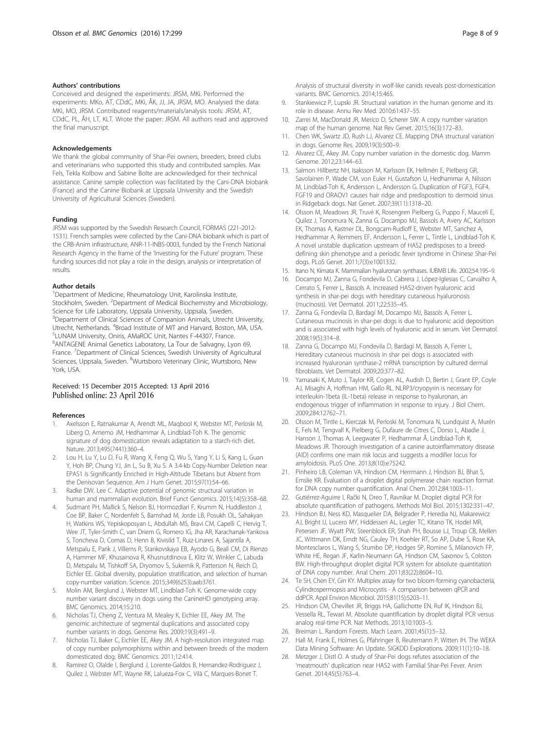#### <span id="page-7-0"></span>Authors' contributions

Conceived and designed the experiments: JRSM, MKi. Performed the experiments: MKo, AT, CDdC, MKi, ÅK, JJ, JA, JRSM, MO. Analysed the data: MKi, MO, JRSM. Contributed reagents/materials/analysis tools: JRSM, AT, CDdC, PL, ÅH, LT, KLT. Wrote the paper: JRSM. All authors read and approved the final manuscript.

#### Acknowledgements

We thank the global community of Shar-Pei owners, breeders, breed clubs and veterinarians who supported this study and contributed samples. Max Fels, Tekla Kolbow and Sabine Bolte are acknowledged for their technical assistance. Canine sample collection was facilitated by the Cani-DNA biobank (France) and the Canine Biobank at Uppsala University and the Swedish University of Agricultural Sciences (Sweden).

#### Funding

JRSM was supported by the Swedish Research Council, FORMAS (221-2012- 1531). French samples were collected by the Cani-DNA biobank which is part of the CRB-Anim infrastructure, ANR-11-INBS-0003, funded by the French National Research Agency in the frame of the 'Investing for the Future' program. These funding sources did not play a role in the design, analysis or interpretation of results.

#### Author details

<sup>1</sup>Department of Medicine, Rheumatology Unit, Karolinska Institute, Stockholm, Sweden. <sup>2</sup>Department of Medical Biochemistry and Microbiology, Science for Life Laboratory, Uppsala University, Uppsala, Sweden. <sup>3</sup>Department of Clinical Sciences of Companion Animals, Utrecht University, Utrecht, Netherlands. <sup>4</sup>Broad Institute of MIT and Harvard, Boston, MA, USA.<br><sup>5</sup>LUNAM University Onisis, AMaROC Unit, Nantos E 44307, Especo. LUNAM University, Oniris, AMaROC Unit, Nantes F-44307, France. 6 ANTAGENE Animal Genetics Laboratory, La Tour de Salvagny, Lyon 69, France. <sup>7</sup>Department of Clinical Sciences, Swedish University of Agricultural Sciences, Uppsala, Sweden. <sup>8</sup>Wurtsboro Veterinary Clinic, Wurtsboro, New York, USA.

#### Received: 15 December 2015 Accepted: 13 April 2016 Published online: 23 April 2016

#### References

- Axelsson E, Ratnakumar A, Arendt ML, Maqbool K, Webster MT, Perloski M, Liberg O, Arnemo JM, Hedhammar A, Lindblad-Toh K. The genomic signature of dog domestication reveals adaptation to a starch-rich diet. Nature. 2013;495(7441):360–4.
- Lou H, Lu Y, Lu D, Fu R, Wang X, Feng Q, Wu S, Yang Y, Li S, Kang L, Guan Y, Hoh BP, Chung YJ, Jin L, Su B, Xu S. A 3.4-kb Copy-Number Deletion near EPAS1 Is Significantly Enriched in High-Altitude Tibetans but Absent from the Denisovan Sequence. Am J Hum Genet. 2015;97(1):54–66.
- 3. Radke DW, Lee C. Adaptive potential of genomic structural variation in human and mammalian evolution. Brief Funct Genomics. 2015;14(5):358–68.
- 4. Sudmant PH, Mallick S, Nelson BJ, Hormozdiari F, Krumm N, Huddleston J, Coe BP, Baker C, Nordenfelt S, Bamshad M, Jorde LB, Posukh OL, Sahakyan H, Watkins WS, Yepiskoposyan L, Abdullah MS, Bravi CM, Capelli C, Hervig T, Wee JT, Tyler-Smith C, van Driem G, Romero IG, Jha AR, Karachanak-Yankova S, Toncheva D, Comas D, Henn B, Kivisild T, Ruiz-Linares A, Sajantila A, Metspalu E, Parik J, Villems R, Starikovskaya EB, Ayodo G, Beall CM, Di Rienzo A, Hammer MF, Khusainova R, Khusnutdinova E, Klitz W, Winkler C, Labuda D, Metspalu M, Tishkoff SA, Dryomov S, Sukernik R, Patterson N, Reich D, Eichler EE. Global diversity, population stratification, and selection of human copy-number variation. Science. 2015;349(6253):aab3761.
- 5. Molin AM, Berglund J, Webster MT, Lindblad-Toh K. Genome-wide copy number variant discovery in dogs using the CanineHD genotyping array. BMC Genomics. 2014;15:210.
- 6. Nicholas TJ, Cheng Z, Ventura M, Mealey K, Eichler EE, Akey JM. The genomic architecture of segmental duplications and associated copy number variants in dogs. Genome Res. 2009;19(3):491–9.
- 7. Nicholas TJ, Baker C, Eichler EE, Akey JM. A high-resolution integrated map of copy number polymorphisms within and between breeds of the modern domesticated dog. BMC Genomics. 2011;12:414.
- Ramirez O, Olalde I, Berglund J, Lorente-Galdos B, Hernandez-Rodriguez J, Quilez J, Webster MT, Wayne RK, Lalueza-Fox C, Vilà C, Marques-Bonet T.

Analysis of structural diversity in wolf-like canids reveals post-domestication variants. BMC Genomics. 2014;15:465.

- 9. Stankiewicz P, Lupski JR. Structural variation in the human genome and its role in disease. Annu Rev Med. 2010;61:437–55.
- 10. Zarrei M, MacDonald JR, Merico D, Scherer SW. A copy number variation map of the human genome. Nat Rev Genet. 2015;16(3):172–83.
- 11. Chen WK, Swartz JD, Rush LJ, Alvarez CE. Mapping DNA structural variation in dogs. Genome Res. 2009;19(3):500–9.
- 12. Alvarez CE, Akey JM. Copy number variation in the domestic dog. Mamm Genome. 2012;23:144–63.
- 13. Salmon Hillbertz NH, Isaksson M, Karlsson EK, Hellmén E, Pielberg GR, Savolainen P, Wade CM, von Euler H, Gustafson U, Hedhammar A, Nilsson M, Lindblad-Toh K, Andersson L, Andersson G. Duplication of FGF3, FGF4, FGF19 and ORAOV1 causes hair ridge and predisposition to dermoid sinus in Ridgeback dogs. Nat Genet. 2007;39(11):1318–20.
- 14. Olsson M, Meadows JR, Truvé K, Rosengren Pielberg G, Puppo F, Mauceli E, Quilez J, Tonomura N, Zanna G, Docampo MJ, Bassols A, Avery AC, Karlsson EK, Thomas A, Kastner DL, Bongcam-Rudloff E, Webster MT, Sanchez A, Hedhammar A, Remmers EF, Andersson L, Ferrer L, Tintle L, Lindblad-Toh K. A novel unstable duplication upstream of HAS2 predisposes to a breeddefining skin phenotype and a periodic fever syndrome in Chinese Shar-Pei dogs. PLoS Genet. 2011;7(3):e1001332.
- 15. Itano N, Kimata K. Mammalian hyaluronan synthases. IUBMB Life. 2002;54:195–9.
- 16. Docampo MJ, Zanna G, Fondevila D, Cabrera J, López-Iglesias C, Carvalho A, Cerrato S, Ferrer L, Bassols A. Increased HAS2-driven hyaluronic acid synthesis in shar-pei dogs with hereditary cutaneous hyaluronosis (mucinosis). Vet Dermatol. 2011;22:535–45.
- 17. Zanna G, Fondevila D, Bardagí M, Docampo MJ, Bassols A, Ferrer L. Cutaneous mucinosis in shar-pei dogs is due to hyaluronic acid deposition and is associated with high levels of hyaluronic acid in serum. Vet Dermatol. 2008;19(5):314–8.
- 18. Zanna G, Docampo MJ, Fondevila D, Bardagí M, Bassols A, Ferrer L. Hereditary cutaneous mucinosis in shar pei dogs is associated with increased hyaluronan synthase-2 mRNA transcription by cultured dermal fibroblasts. Vet Dermatol. 2009;20:377–82.
- 19. Yamasaki K, Muto J, Taylor KR, Cogen AL, Audish D, Bertin J, Grant EP, Coyle AJ, Misaghi A, Hoffman HM, Gallo RL. NLRP3/cryopyrin is necessary for interleukin-1beta (IL-1beta) release in response to hyaluronan, an endogenous trigger of inflammation in response to injury. J Biol Chem. 2009;284:12762–71.
- 20. Olsson M, Tintle L, Kierczak M, Perloski M, Tonomura N, Lundquist A, Murén E, Fels M, Tengvall K, Pielberg G, Dufaure de Citres C, Dorso L, Abadie J, Hanson J, Thomas A, Leegwater P, Hedhammar Å, Lindblad-Toh K, Meadows JR. Thorough investigation of a canine autoinflammatory disease (AID) confirms one main risk locus and suggests a modifier locus for amyloidosis. PLoS One. 2013;8(10):e75242.
- 21. Pinheiro LB, Coleman VA, Hindson CM, Herrmann J, Hindson BJ, Bhat S, Emslie KR. Evaluation of a droplet digital polymerase chain reaction format for DNA copy number quantification. Anal Chem. 2012;84:1003–11.
- 22. Gutiérrez-Aguirre I, Rački N, Dreo T, Ravnikar M. Droplet digital PCR for absolute quantification of pathogens. Methods Mol Biol. 2015;1302:331–47.
- 23. Hindson BJ, Ness KD, Masquelier DA, Belgrader P, Heredia NJ, Makarewicz AJ, Bright IJ, Lucero MY, Hiddessen AL, Legler TC, Kitano TK, Hodel MR, Petersen JF, Wyatt PW, Steenblock ER, Shah PH, Bousse LJ, Troup CB, Mellen JC, Wittmann DK, Erndt NG, Cauley TH, Koehler RT, So AP, Dube S, Rose KA, Montesclaros L, Wang S, Stumbo DP, Hodges SP, Romine S, Milanovich FP, White HE, Regan JF, Karlin-Neumann GA, Hindson CM, Saxonov S, Colston BW. High-throughput droplet digital PCR system for absolute quantitation of DNA copy number. Anal Chem. 2011;83(22):8604–10.
- 24. Te SH, Chen EY, Gin KY. Multiplex assay for two bloom-forming cyanobacteria, Cylindrospermopsis and Microcystis - A comparison between qPCR and ddPCR. Appl Environ Microbiol. 2015;81(15):5203–11.
- 25. Hindson CM, Chevillet JR, Briggs HA, Gallichotte EN, Ruf IK, Hindson BJ, Vessella RL, Tewari M. Absolute quantification by droplet digital PCR versus analog real-time PCR. Nat Methods. 2013;10:1003–5.
- 26. Breiman L. Random Forests. Mach Learn. 2001;45(1):5–32.
- 27. Hall M, Frank E, Holmes G, Pfahringer B, Reutemann P, Witten IH. The WEKA Data Mining Software: An Update. SIGKDD Explorations. 2009;11(1):10–18.
- 28. Metzger J, Distl O. A study of Shar-Pei dogs refutes association of the 'meatmouth' duplication near HAS2 with Familial Shar-Pei Fever. Anim Genet. 2014;45(5):763–4.